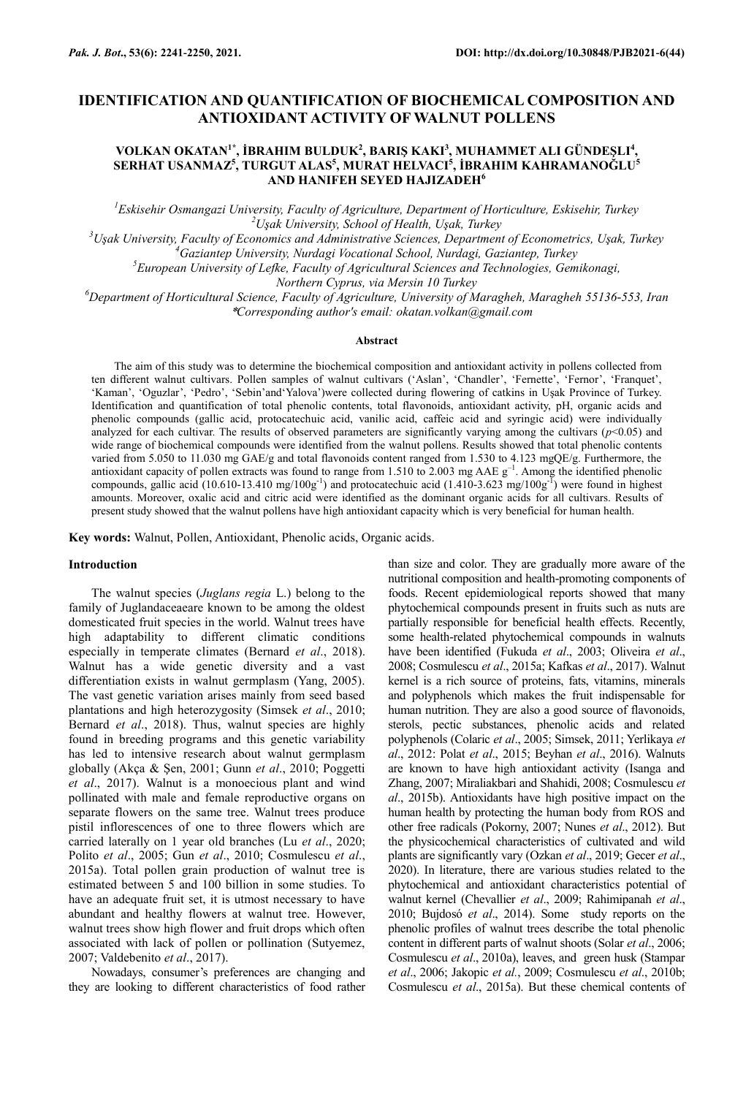# **IDENTIFICATION AND QUANTIFICATION OF BIOCHEMICAL COMPOSITION AND ANTIOXIDANT ACTIVITY OF WALNUT POLLENS**

## **VOLKAN OKATAN1\*, İBRAHIM BULDUK<sup>2</sup> , BARIŞ KAKI<sup>3</sup> , MUHAMMET ALI GÜNDEŞLI<sup>4</sup> , SERHAT USANMAZ<sup>5</sup> , TURGUT ALAS<sup>5</sup> , MURAT HELVACI<sup>5</sup> , İBRAHIM KAHRAMANOĞLU<sup>5</sup> AND HANIFEH SEYED HAJIZADEH<sup>6</sup>**

*<sup>1</sup>Eskisehir Osmangazi University, Faculty of Agriculture, Department of Horticulture, Eskisehir, Turkey <sup>2</sup>Uşak University, School of Health, Uşak, Turkey*

*<sup>3</sup>Uşak University, Faculty of Economics and Administrative Sciences, Department of Econometrics, Uşak, Turkey*

*<sup>4</sup>Gaziantep University, Nurdagi Vocational School, Nurdagi, Gaziantep, Turkey*

*<sup>5</sup>European University of Lefke, Faculty of Agricultural Sciences and Technologies, Gemikonagi,* 

*Northern Cyprus, via Mersin 10 Turkey*

*<sup>6</sup>Department of Horticultural Science, Faculty of Agriculture, University of Maragheh, Maragheh 55136-553, Iran* \**Corresponding author's email: okatan.volkan@gmail.com*

#### **Abstract**

The aim of this study was to determine the biochemical composition and antioxidant activity in pollens collected from ten different walnut cultivars. Pollen samples of walnut cultivars ('Aslan', 'Chandler', 'Fernette', 'Fernor', 'Franquet', 'Kaman', 'Oguzlar', 'Pedro', 'Sebin'and'Yalova')were collected during flowering of catkins in Uşak Province of Turkey. Identification and quantification of total phenolic contents, total flavonoids, antioxidant activity, pH, organic acids and phenolic compounds (gallic acid, protocatechuic acid, vanilic acid, caffeic acid and syringic acid) were individually analyzed for each cultivar. The results of observed parameters are significantly varying among the cultivars  $(p<0.05)$  and wide range of biochemical compounds were identified from the walnut pollens. Results showed that total phenolic contents varied from 5.050 to 11.030 mg GAE/g and total flavonoids content ranged from 1.530 to 4.123 mgQE/g. Furthermore, the antioxidant capacity of pollen extracts was found to range from 1.510 to 2.003 mg AAE  $g^{-1}$ . Among the identified phenolic compounds, gallic acid (10.610-13.410 mg/100g<sup>-1</sup>) and protocatechuic acid (1.410-3.623 mg/100g<sup>-1</sup>) were found in highest amounts. Moreover, oxalic acid and citric acid were identified as the dominant organic acids for all cultivars. Results of present study showed that the walnut pollens have high antioxidant capacity which is very beneficial for human health.

**Key words:** Walnut, Pollen, Antioxidant, Phenolic acids, Organic acids.

#### **Introduction**

The walnut species (*Juglans regia* L.) belong to the family of Juglandaceaeare known to be among the oldest domesticated fruit species in the world. Walnut trees have high adaptability to different climatic conditions especially in temperate climates (Bernard *et al*., 2018). Walnut has a wide genetic diversity and a vast differentiation exists in walnut germplasm (Yang, 2005). The vast genetic variation arises mainly from seed based plantations and high heterozygosity (Simsek *et al*., 2010; Bernard *et al*., 2018). Thus, walnut species are highly found in breeding programs and this genetic variability has led to intensive research about walnut germplasm globally (Akça & Şen, 2001; Gunn *et al*., 2010; Poggetti *et al*., 2017). Walnut is a monoecious plant and wind pollinated with male and female reproductive organs on separate flowers on the same tree. Walnut trees produce pistil inflorescences of one to three flowers which are carried laterally on 1 year old branches (Lu *et al*., 2020; Polito *et al*., 2005; Gun *et al*., 2010; Cosmulescu *et al*., 2015a). Total pollen grain production of walnut tree is estimated between 5 and 100 billion in some studies. To have an adequate fruit set, it is utmost necessary to have abundant and healthy flowers at walnut tree. However, walnut trees show high flower and fruit drops which often associated with lack of pollen or pollination (Sutyemez, 2007; Valdebenito *et al*., 2017).

Nowadays, consumer's preferences are changing and they are looking to different characteristics of food rather

than size and color. They are gradually more aware of the nutritional composition and health-promoting components of foods. Recent epidemiological reports showed that many phytochemical compounds present in fruits such as nuts are partially responsible for beneficial health effects. Recently, some health-related phytochemical compounds in walnuts have been identified (Fukuda *et al*., 2003; Oliveira *et al*., 2008; Cosmulescu *et al*., 2015a; Kafkas *et al*., 2017). Walnut kernel is a rich source of proteins, fats, vitamins, minerals and polyphenols which makes the fruit indispensable for human nutrition. They are also a good source of flavonoids, sterols, pectic substances, phenolic acids and related polyphenols (Colaric *et al*., 2005; Simsek, 2011; Yerlikaya *et al*., 2012: Polat *et al*., 2015; Beyhan *et al*., 2016). Walnuts are known to have high antioxidant activity (Isanga and Zhang, 2007; Miraliakbari and Shahidi, 2008; Cosmulescu *et al*., 2015b). Antioxidants have high positive impact on the human health by protecting the human body from ROS and other free radicals (Pokorny, 2007; Nunes *et al*., 2012). But the physicochemical characteristics of cultivated and wild plants are significantly vary (Ozkan *et al*., 2019; Gecer *et al*., 2020). In literature, there are various studies related to the phytochemical and antioxidant characteristics potential of walnut kernel (Chevallier *et al*., 2009; Rahimipanah *et al*., 2010; Bujdosó *et al*., 2014). Some study reports on the phenolic profiles of walnut trees describe the total phenolic content in different parts of walnut shoots (Solar *et al*., 2006; Cosmulescu *et al*., 2010a), leaves, and green husk (Stampar *et al*., 2006; Jakopic *et al.*, 2009; Cosmulescu *et al*., 2010b; Cosmulescu *et al*., 2015a). But these chemical contents of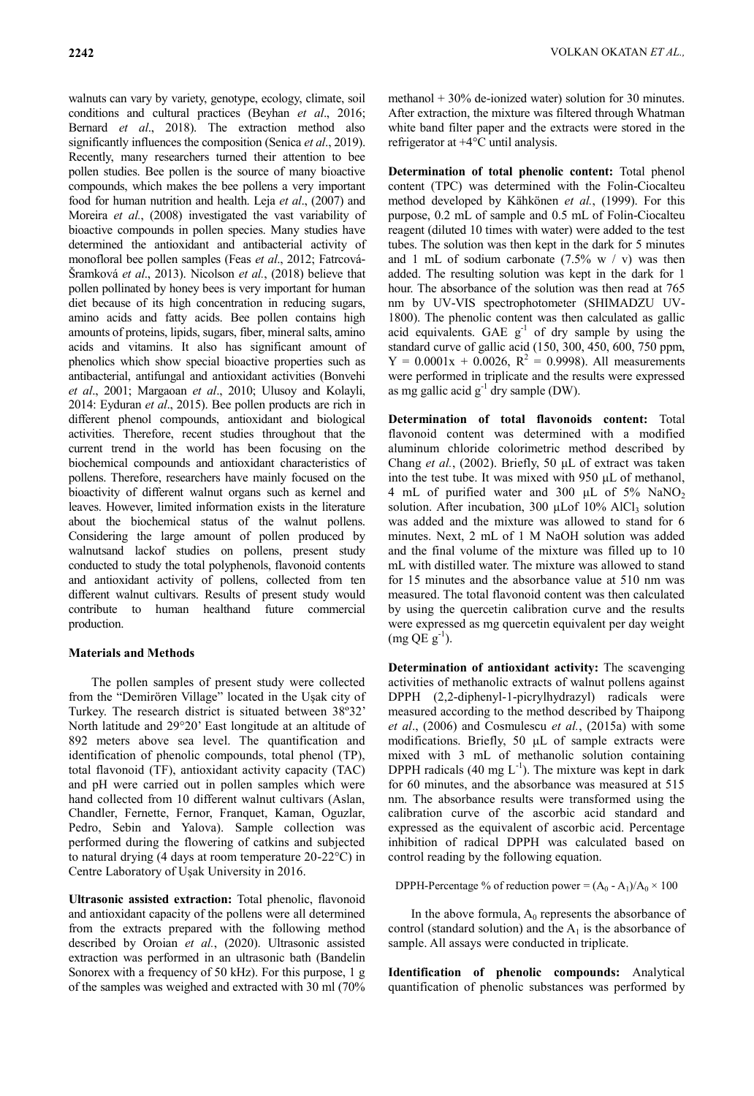walnuts can vary by variety, genotype, ecology, climate, soil conditions and cultural practices (Beyhan *et al*., 2016; Bernard *et al*., 2018). The extraction method also significantly influences the composition (Senica *et al*., 2019). Recently, many researchers turned their attention to bee pollen studies. Bee pollen is the source of many bioactive compounds, which makes the bee pollens a very important food for human nutrition and health. Leja *et al*., (2007) and Moreira *et al.*, (2008) investigated the vast variability of bioactive compounds in pollen species. Many studies have determined the antioxidant and antibacterial activity of monofloral bee pollen samples (Feas *et al*., 2012; Fatrcová-Šramková *et al*., 2013). Nicolson *et al.*, (2018) believe that pollen pollinated by honey bees is very important for human diet because of its high concentration in reducing sugars, amino acids and fatty acids. Bee pollen contains high amounts of proteins, lipids, sugars, fiber, mineral salts, amino acids and vitamins. It also has significant amount of phenolics which show special bioactive properties such as antibacterial, antifungal and antioxidant activities (Bonvehi *et al*., 2001; Margaoan *et al*., 2010; Ulusoy and Kolayli, 2014: Eyduran *et al*., 2015). Bee pollen products are rich in different phenol compounds, antioxidant and biological activities. Therefore, recent studies throughout that the current trend in the world has been focusing on the biochemical compounds and antioxidant characteristics of pollens. Therefore, researchers have mainly focused on the bioactivity of different walnut organs such as kernel and leaves. However, limited information exists in the literature about the biochemical status of the walnut pollens. Considering the large amount of pollen produced by walnutsand lackof studies on pollens, present study conducted to study the total polyphenols, flavonoid contents and antioxidant activity of pollens, collected from ten different walnut cultivars. Results of present study would contribute to human healthand future commercial production.

## **Materials and Methods**

The pollen samples of present study were collected from the "Demirören Village" located in the Uşak city of Turkey. The research district is situated between 38º32" North latitude and 29°20" East longitude at an altitude of 892 meters above sea level. The quantification and identification of phenolic compounds, total phenol (TP), total flavonoid (TF), antioxidant activity capacity (TAC) and pH were carried out in pollen samples which were hand collected from 10 different walnut cultivars (Aslan, Chandler, Fernette, Fernor, Franquet, Kaman, Oguzlar, Pedro, Sebin and Yalova). Sample collection was performed during the flowering of catkins and subjected to natural drying (4 days at room temperature 20-22°C) in Centre Laboratory of Uşak University in 2016.

**Ultrasonic assisted extraction:** Total phenolic, flavonoid and antioxidant capacity of the pollens were all determined from the extracts prepared with the following method described by Oroian *et al.*, (2020). Ultrasonic assisted extraction was performed in an ultrasonic bath (Bandelin Sonorex with a frequency of 50 kHz). For this purpose, 1 g of the samples was weighed and extracted with 30 ml (70%

methanol  $+30\%$  de-ionized water) solution for 30 minutes. After extraction, the mixture was filtered through Whatman white band filter paper and the extracts were stored in the refrigerator at +4°C until analysis.

**Determination of total phenolic content:** Total phenol content (TPC) was determined with the Folin-Ciocalteu method developed by Kähkönen *et al.*, (1999). For this purpose, 0.2 mL of sample and 0.5 mL of Folin-Ciocalteu reagent (diluted 10 times with water) were added to the test tubes. The solution was then kept in the dark for 5 minutes and 1 mL of sodium carbonate  $(7.5\% \text{ w } / \text{ v})$  was then added. The resulting solution was kept in the dark for 1 hour. The absorbance of the solution was then read at 765 nm by UV-VIS spectrophotometer (SHIMADZU UV-1800). The phenolic content was then calculated as gallic acid equivalents. GAE  $g^{-1}$  of dry sample by using the standard curve of gallic acid (150, 300, 450, 600, 750 ppm,  $Y = 0.0001x + 0.0026$ ,  $R^2 = 0.9998$ ). All measurements were performed in triplicate and the results were expressed as mg gallic acid  $g^{-1}$  dry sample (DW).

**Determination of total flavonoids content:** Total flavonoid content was determined with a modified aluminum chloride colorimetric method described by Chang *et al.*, (2002). Briefly, 50 μL of extract was taken into the test tube. It was mixed with 950 μL of methanol, 4 mL of purified water and 300 μL of 5% NaNO<sup>2</sup> solution. After incubation, 300  $\mu$ Lof 10% AlCl<sub>3</sub> solution was added and the mixture was allowed to stand for 6 minutes. Next, 2 mL of 1 M NaOH solution was added and the final volume of the mixture was filled up to 10 mL with distilled water. The mixture was allowed to stand for 15 minutes and the absorbance value at 510 nm was measured. The total flavonoid content was then calculated by using the quercetin calibration curve and the results were expressed as mg quercetin equivalent per day weight  $(mg QE g^{-1}).$ 

**Determination of antioxidant activity:** The scavenging activities of methanolic extracts of walnut pollens against DPPH (2,2-diphenyl-1-picrylhydrazyl) radicals were measured according to the method described by Thaipong *et al*., (2006) and Cosmulescu *et al.*, (2015a) with some modifications. Briefly, 50 μL of sample extracts were mixed with 3 mL of methanolic solution containing DPPH radicals (40 mg  $L^{-1}$ ). The mixture was kept in dark for 60 minutes, and the absorbance was measured at 515 nm. The absorbance results were transformed using the calibration curve of the ascorbic acid standard and expressed as the equivalent of ascorbic acid. Percentage inhibition of radical DPPH was calculated based on control reading by the following equation.

DPPH-Percentage % of reduction power =  $(A_0 - A_1)/A_0 \times 100$ 

In the above formula,  $A_0$  represents the absorbance of control (standard solution) and the  $A_1$  is the absorbance of sample. All assays were conducted in triplicate.

**Identification of phenolic compounds:** Analytical quantification of phenolic substances was performed by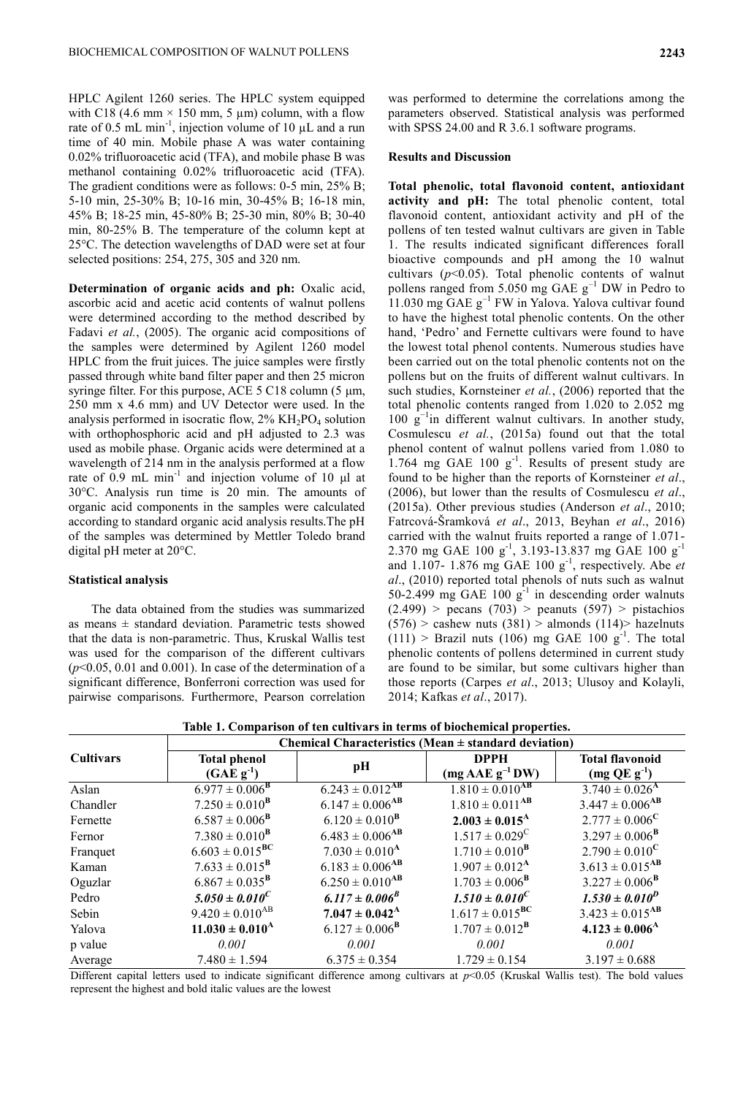HPLC Agilent 1260 series. The HPLC system equipped with C18 (4.6 mm  $\times$  150 mm, 5 µm) column, with a flow rate of 0.5 mL min<sup>-1</sup>, injection volume of 10  $\mu$ L and a run time of 40 min. Mobile phase A was water containing 0.02% trifluoroacetic acid (TFA), and mobile phase B was methanol containing 0.02% trifluoroacetic acid (TFA). The gradient conditions were as follows: 0-5 min, 25% B; 5-10 min, 25-30% B; 10-16 min, 30-45% B; 16-18 min, 45% B; 18-25 min, 45-80% B; 25-30 min, 80% B; 30-40 min, 80-25% B. The temperature of the column kept at 25°C. The detection wavelengths of DAD were set at four selected positions: 254, 275, 305 and 320 nm.

**Determination of organic acids and ph:** Oxalic acid, ascorbic acid and acetic acid contents of walnut pollens were determined according to the method described by Fadavi *et al.*, (2005). The organic acid compositions of the samples were determined by Agilent 1260 model HPLC from the fruit juices. The juice samples were firstly passed through white band filter paper and then 25 micron syringe filter. For this purpose, ACE 5 C18 column (5 μm, 250 mm x 4.6 mm) and UV Detector were used. In the analysis performed in isocratic flow,  $2\% \mathrm{KH}_{2}\mathrm{PO}_{4}$  solution with orthophosphoric acid and pH adjusted to 2.3 was used as mobile phase. Organic acids were determined at a wavelength of 214 nm in the analysis performed at a flow rate of  $\overline{0.9}$  mL min<sup>-1</sup> and injection volume of 10  $\mu$ l at 30°C. Analysis run time is 20 min. The amounts of organic acid components in the samples were calculated according to standard organic acid analysis results.The pH of the samples was determined by Mettler Toledo brand digital pH meter at 20°C.

## **Statistical analysis**

The data obtained from the studies was summarized as means  $\pm$  standard deviation. Parametric tests showed that the data is non-parametric. Thus, Kruskal Wallis test was used for the comparison of the different cultivars  $(p<0.05, 0.01$  and 0.001). In case of the determination of a significant difference, Bonferroni correction was used for pairwise comparisons. Furthermore, Pearson correlation

was performed to determine the correlations among the parameters observed. Statistical analysis was performed with SPSS 24.00 and R 3.6.1 software programs.

## **Results and Discussion**

**Total phenolic, total flavonoid content, antioxidant activity and pH:** The total phenolic content, total flavonoid content, antioxidant activity and pH of the pollens of ten tested walnut cultivars are given in Table 1. The results indicated significant differences forall bioactive compounds and pH among the 10 walnut cultivars  $(p<0.05)$ . Total phenolic contents of walnut pollens ranged from 5.050 mg GAE  $g^{-1}$  DW in Pedro to  $11.030$  mg GAE  $g^{-1}$  FW in Yalova. Yalova cultivar found to have the highest total phenolic contents. On the other hand, 'Pedro' and Fernette cultivars were found to have the lowest total phenol contents. Numerous studies have been carried out on the total phenolic contents not on the pollens but on the fruits of different walnut cultivars. In such studies, Kornsteiner *et al.*, (2006) reported that the total phenolic contents ranged from 1.020 to 2.052 mg 100 g−1 in different walnut cultivars. In another study, Cosmulescu *et al.*, (2015a) found out that the total phenol content of walnut pollens varied from 1.080 to 1.764 mg GAE  $100 \text{ g}^{-1}$ . Results of present study are found to be higher than the reports of Kornsteiner *et al*., (2006), but lower than the results of Cosmulescu *et al*., (2015a). Other previous studies (Anderson *et al*., 2010; Fatrcová-Šramková *et al*., 2013, Beyhan *et al*., 2016) carried with the walnut fruits reported a range of 1.071- 2.370 mg GAE 100 g<sup>-1</sup>, 3.193-13.837 mg GAE 100 g<sup>-1</sup> and 1.107- 1.876 mg GAE 100 g-1 , respectively. Abe *et al*., (2010) reported total phenols of nuts such as walnut 50-2.499 mg GAE 100  $g^{-1}$  in descending order walnuts  $(2.499)$  > pecans  $(703)$  > peanuts  $(597)$  > pistachios  $(576)$  > cashew nuts  $(381)$  > almonds  $(114)$ > hazelnuts  $(111)$  > Brazil nuts (106) mg GAE 100 g<sup>-1</sup>. The total phenolic contents of pollens determined in current study are found to be similar, but some cultivars higher than those reports (Carpes *et al*., 2013; Ulusoy and Kolayli, 2014; Kafkas *et al*., 2017).

| Table 1. Comparison of ten cultivars in terms of biochemical properties. |                                                          |                                 |                                 |                                 |  |  |  |
|--------------------------------------------------------------------------|----------------------------------------------------------|---------------------------------|---------------------------------|---------------------------------|--|--|--|
|                                                                          | Chemical Characteristics (Mean $\pm$ standard deviation) |                                 |                                 |                                 |  |  |  |
| Cultivars                                                                | <b>Total phenol</b>                                      |                                 | <b>DPPH</b>                     | <b>Total flavonoid</b>          |  |  |  |
|                                                                          | $(GAE g^{-1})$                                           | pН                              | $(mg AAE g^{-1}DW)$             | $(mg QE g-1)$                   |  |  |  |
| Aslan                                                                    | $6.977 \pm 0.006^{\rm B}$                                | $6.243 \pm 0.012$ <sup>AB</sup> | $1.810 \pm 0.010^{AB}$          | $3.740 \pm 0.026$ <sup>A</sup>  |  |  |  |
| Chandler                                                                 | $7.250 \pm 0.010^{\rm B}$                                | $6.147 \pm 0.006$ <sup>AB</sup> | $1.810 \pm 0.011$ <sup>AB</sup> | $3.447 \pm 0.006$ <sup>AB</sup> |  |  |  |
| Fernette                                                                 | $6.587 \pm 0.006^{\rm B}$                                | $6.120 \pm 0.010^{\rm B}$       | $2.003 \pm 0.015^{\rm A}$       | $2.777 \pm 0.006^{\circ}$       |  |  |  |
| Fernor                                                                   | $7.380 \pm 0.010^{\rm B}$                                | $6.483 \pm 0.006$ <sup>AB</sup> | $1.517 \pm 0.029^{\circ}$       | $3.297 \pm 0.006^{\rm B}$       |  |  |  |
| Franquet                                                                 | $6.603 \pm 0.015^{\text{BC}}$                            | $7.030 \pm 0.010^{\rm A}$       | $1.710 \pm 0.010^{\rm B}$       | $2.790 \pm 0.010^{\circ}$       |  |  |  |
| Kaman                                                                    | $7.633 \pm 0.015^{\rm B}$                                | $6.183 \pm 0.006$ <sup>AB</sup> | $1.907 \pm 0.012^{\text{A}}$    | $3.613 \pm 0.015^{AB}$          |  |  |  |
| Oguzlar                                                                  | $6.867 \pm 0.035^{\rm B}$                                | $6.250 \pm 0.010^{AB}$          | $1.703 \pm 0.006^{\rm B}$       | $3.227 \pm 0.006^{\rm B}$       |  |  |  |
| Pedro                                                                    | $5.050 \pm 0.010^C$                                      | $6.117 \pm 0.006^B$             | $1.510 \pm 0.010^C$             | $1.530 \pm 0.010^D$             |  |  |  |
| Sebin                                                                    | $9.420 \pm 0.010^{AB}$                                   | $7.047 \pm 0.042^{\rm A}$       | $1.617 \pm 0.015^{\text{BC}}$   | $3.423 \pm 0.015$ <sup>AB</sup> |  |  |  |
| Yalova                                                                   | $11.030 \pm 0.010^{\rm A}$                               | $6.127 \pm 0.006^{\rm B}$       | $1.707 \pm 0.012^{\rm B}$       | $4.123 \pm 0.006$ <sup>A</sup>  |  |  |  |
|                                                                          |                                                          |                                 |                                 |                                 |  |  |  |

Different capital letters used to indicate significant difference among cultivars at *p*<0.05 (Kruskal Wallis test). The bold values represent the highest and bold italic values are the lowest

p value *0.001 0.001 0.001 0.001* Average  $7.480 \pm 1.594$   $6.375 \pm 0.354$   $1.729 \pm 0.154$   $3.197 \pm 0.688$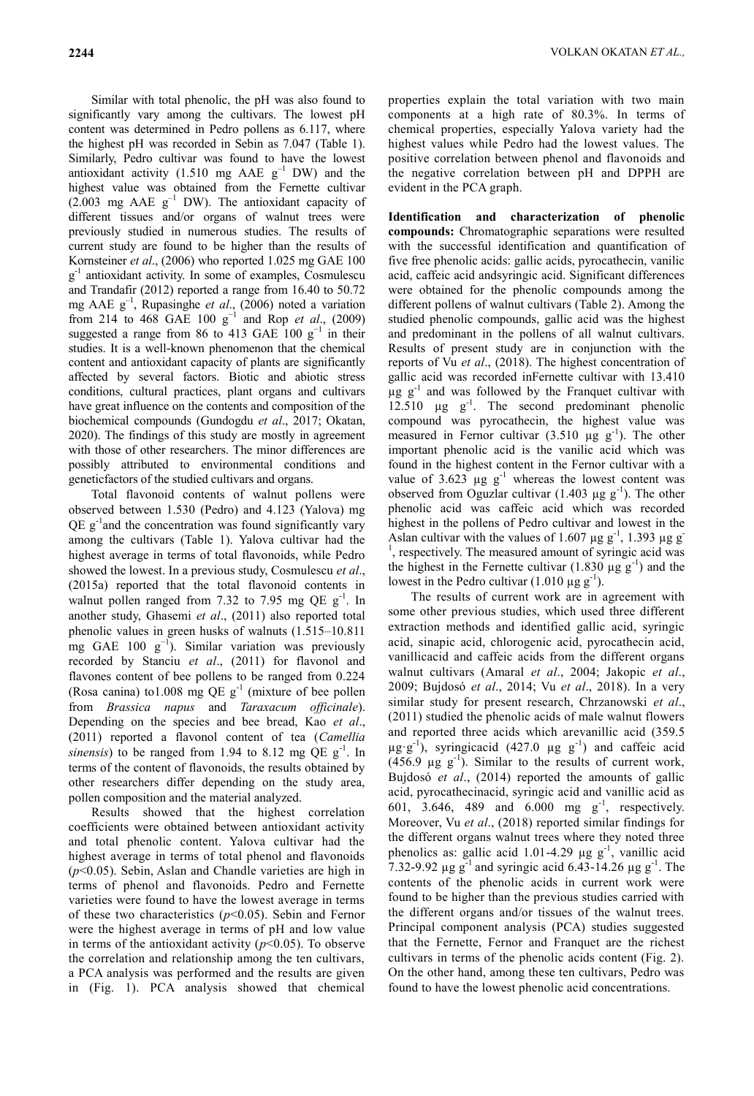Similar with total phenolic, the pH was also found to significantly vary among the cultivars. The lowest pH content was determined in Pedro pollens as 6.117, where the highest pH was recorded in Sebin as 7.047 (Table 1). Similarly, Pedro cultivar was found to have the lowest antioxidant activity (1.510 mg AAE  $g^{-1}$  DW) and the highest value was obtained from the Fernette cultivar  $(2.003 \text{ mg} \text{AAE g}^{-1} \text{DW})$ . The antioxidant capacity of different tissues and/or organs of walnut trees were previously studied in numerous studies. The results of current study are found to be higher than the results of Kornsteiner *et al*., (2006) who reported 1.025 mg GAE 100 g -1 antioxidant activity. In some of examples, Cosmulescu and Trandafir (2012) reported a range from 16.40 to 50.72 mg AAE g–1 , Rupasinghe *et al*., (2006) noted a variation from 214 to 468 GAE 100  $g^{-1}$  and Rop *et al.*, (2009) suggested a range from 86 to 413 GAE  $100 \text{ g}^{-1}$  in their studies. It is a well-known phenomenon that the chemical content and antioxidant capacity of plants are significantly affected by several factors. Biotic and abiotic stress conditions, cultural practices, plant organs and cultivars have great influence on the contents and composition of the biochemical compounds (Gundogdu *et al*., 2017; Okatan, 2020). The findings of this study are mostly in agreement with those of other researchers. The minor differences are possibly attributed to environmental conditions and geneticfactors of the studied cultivars and organs.

Total flavonoid contents of walnut pollens were observed between 1.530 (Pedro) and 4.123 (Yalova) mg  $QE$   $g^{-1}$  and the concentration was found significantly vary among the cultivars (Table 1). Yalova cultivar had the highest average in terms of total flavonoids, while Pedro showed the lowest. In a previous study, Cosmulescu *et al*., (2015a) reported that the total flavonoid contents in walnut pollen ranged from 7.32 to 7.95 mg QE  $g^{-1}$ . In another study, Ghasemi *et al*., (2011) also reported total phenolic values in green husks of walnuts (1.515–10.811 mg GAE 100  $g^{-1}$ ). Similar variation was previously recorded by Stanciu *et al*., (2011) for flavonol and flavones content of bee pollens to be ranged from 0.224 (Rosa canina) to 1.008 mg QE  $g^{-1}$  (mixture of bee pollen from *Brassica napus* and *Taraxacum officinale*). Depending on the species and bee bread, Kao *et al*., (2011) reported a flavonol content of tea (*Camellia sinensis*) to be ranged from 1.94 to 8.12 mg QE  $g^{-1}$ . In terms of the content of flavonoids, the results obtained by other researchers differ depending on the study area, pollen composition and the material analyzed.

Results showed that the highest correlation coefficients were obtained between antioxidant activity and total phenolic content. Yalova cultivar had the highest average in terms of total phenol and flavonoids (*p*<0.05). Sebin, Aslan and Chandle varieties are high in terms of phenol and flavonoids. Pedro and Fernette varieties were found to have the lowest average in terms of these two characteristics (*p*<0.05). Sebin and Fernor were the highest average in terms of pH and low value in terms of the antioxidant activity  $(p<0.05)$ . To observe the correlation and relationship among the ten cultivars, a PCA analysis was performed and the results are given in (Fig. 1). PCA analysis showed that chemical

properties explain the total variation with two main components at a high rate of 80.3%. In terms of chemical properties, especially Yalova variety had the highest values while Pedro had the lowest values. The positive correlation between phenol and flavonoids and the negative correlation between pH and DPPH are evident in the PCA graph.

**Identification and characterization of phenolic compounds:** Chromatographic separations were resulted with the successful identification and quantification of five free phenolic acids: gallic acids, pyrocathecin, vanilic acid, caffeic acid andsyringic acid. Significant differences were obtained for the phenolic compounds among the different pollens of walnut cultivars (Table 2). Among the studied phenolic compounds, gallic acid was the highest and predominant in the pollens of all walnut cultivars. Results of present study are in conjunction with the reports of Vu *et al*., (2018). The highest concentration of gallic acid was recorded inFernette cultivar with 13.410  $\mu$ g  $g^{-1}$  and was followed by the Franquet cultivar with 12.510  $\mu$ g  $g^{-1}$ . The second predominant phenolic compound was pyrocathecin, the highest value was measured in Fernor cultivar  $(3.510 \mu g g^{-1})$ . The other important phenolic acid is the vanilic acid which was found in the highest content in the Fernor cultivar with a value of 3.623  $\mu$ g g<sup>-1</sup> whereas the lowest content was observed from Oguzlar cultivar (1.403  $\mu$ g g<sup>-1</sup>). The other phenolic acid was caffeic acid which was recorded highest in the pollens of Pedro cultivar and lowest in the Aslan cultivar with the values of 1.607  $\mu$ g g<sup>-1</sup>, 1.393  $\mu$ g g<sup>-1</sup> , respectively. The measured amount of syringic acid was the highest in the Fernette cultivar  $(1.830 \mu g g^{-1})$  and the lowest in the Pedro cultivar (1.010  $\mu$ g g<sup>-1</sup>).

The results of current work are in agreement with some other previous studies, which used three different extraction methods and identified gallic acid, syringic acid, sinapic acid, chlorogenic acid, pyrocathecin acid, vanillicacid and caffeic acids from the different organs walnut cultivars (Amaral *et al*., 2004; Jakopic *et al*., 2009; Bujdosó *et al*., 2014; Vu *et al*., 2018). In a very similar study for present research, Chrzanowski *et al*., (2011) studied the phenolic acids of male walnut flowers and reported three acids which arevanillic acid (359.5  $\mu$ g·g<sup>-1</sup>), syringicacid (427.0  $\mu$ g g<sup>-1</sup>) and caffeic acid  $(456.9 \text{ µg g}^{-1})$ . Similar to the results of current work, Bujdosó *et al*., (2014) reported the amounts of gallic acid, pyrocathecinacid, syringic acid and vanillic acid as 601, 3.646, 489 and 6.000 mg  $g^{-1}$ , respectively. Moreover, Vu *et al*., (2018) reported similar findings for the different organs walnut trees where they noted three phenolics as: gallic acid 1.01-4.29  $\mu$ g g<sup>-1</sup>, vanillic acid 7.32-9.92  $\mu$ g g<sup>-1</sup> and syringic acid 6.43-14.26  $\mu$ g g<sup>-1</sup>. The contents of the phenolic acids in current work were found to be higher than the previous studies carried with the different organs and/or tissues of the walnut trees. Principal component analysis (PCA) studies suggested that the Fernette, Fernor and Franquet are the richest cultivars in terms of the phenolic acids content (Fig. 2). On the other hand, among these ten cultivars, Pedro was found to have the lowest phenolic acid concentrations.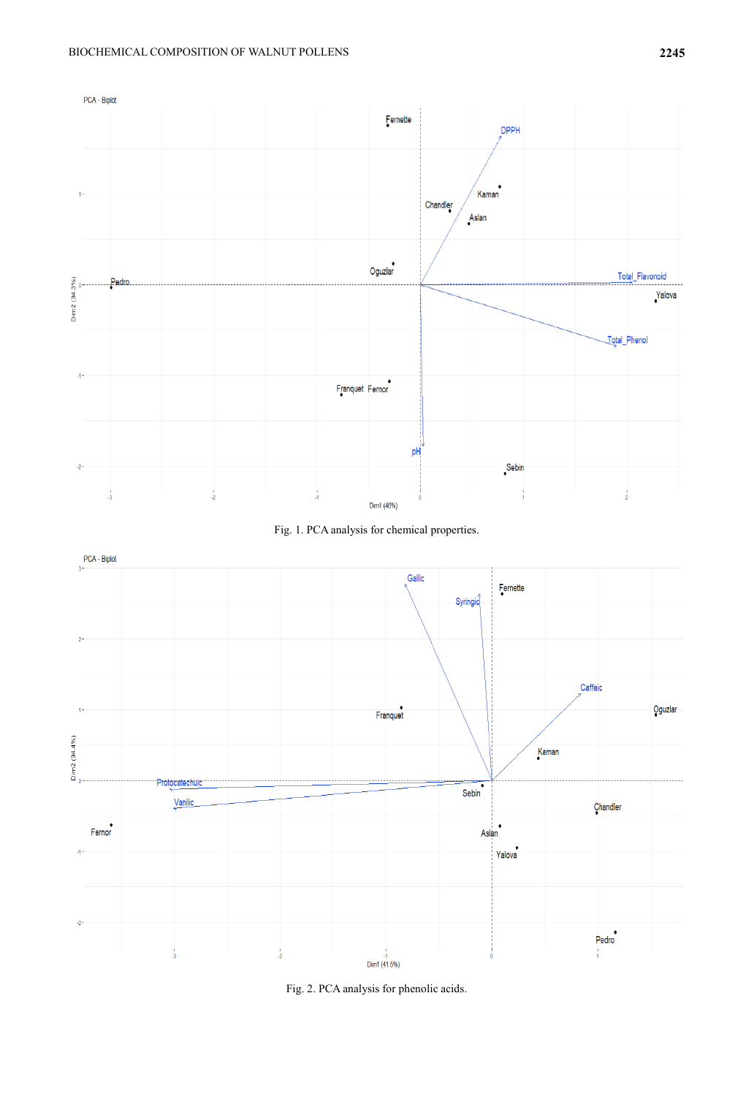





Fig. 2. PCA analysis for phenolic acids.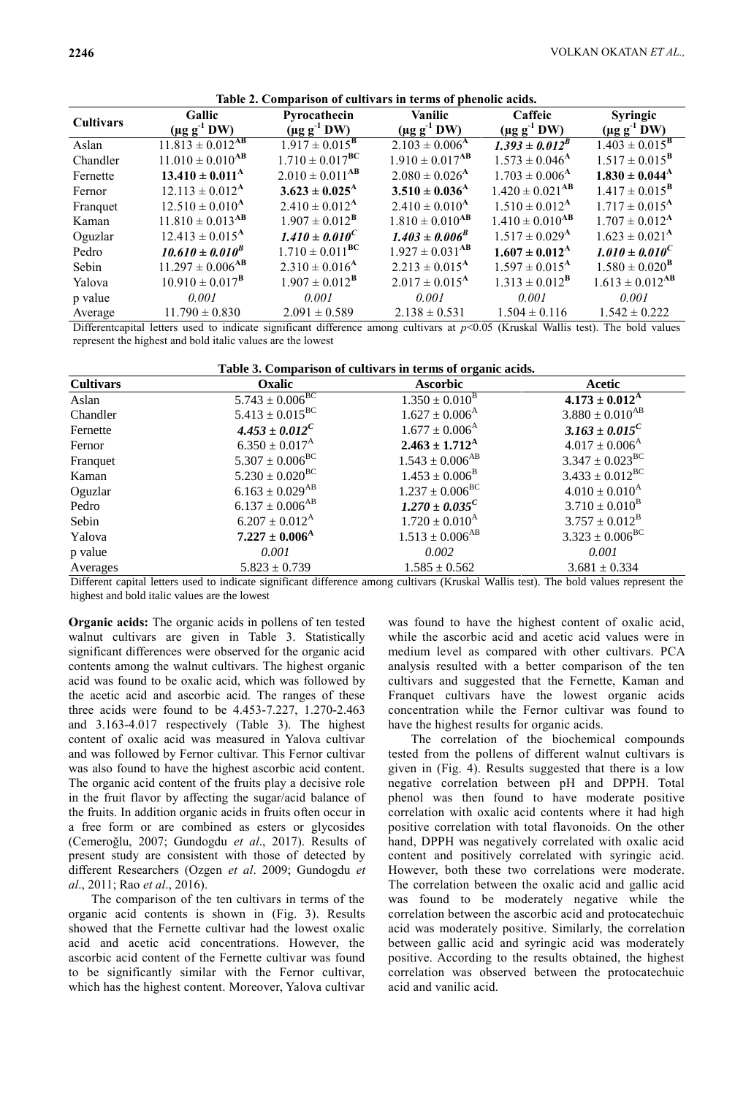| <b>Cultivars</b> | <b>Gallic</b><br>$(\mu g g^1)$ DW) | Pyrocathecin<br>$(\mu g g^1)$ DW) | <b>Vanilic</b><br>$(\mu g g^1)$ DW) | Caffeic<br>$(\mu g g^{-1} D W)$ | <b>Syringic</b><br>$(\mu g g^1 DW)$ |
|------------------|------------------------------------|-----------------------------------|-------------------------------------|---------------------------------|-------------------------------------|
| Aslan            | $11.813 \pm 0.012$ <sup>AB</sup>   | $1.917 \pm 0.015^{\rm B}$         | $2.103 \pm 0.006^{\rm A}$           | $1.393 \pm 0.012^B$             | $1.403 \pm 0.015^{\overline{B}}$    |
| Chandler         | $11.010 \pm 0.010^{AB}$            | $1.710 \pm 0.017^{\text{BC}}$     | $1.910 \pm 0.017$ <sup>AB</sup>     | $1.573 \pm 0.046$ <sup>A</sup>  | $1.517 \pm 0.015^{\rm B}$           |
| Fernette         | $13.410 \pm 0.011^{\text{A}}$      | $2.010 \pm 0.011$ <sup>AB</sup>   | $2.080 \pm 0.026$ <sup>A</sup>      | $1.703 \pm 0.006$ <sup>A</sup>  | $1.830 \pm 0.044^{\rm A}$           |
| Fernor           | $12.113 \pm 0.012^{\rm A}$         | $3.623 \pm 0.025^{\rm A}$         | $3.510 \pm 0.036$ <sup>A</sup>      | $1.420 \pm 0.021$ <sup>AB</sup> | $1.417 \pm 0.015^{\rm B}$           |
| Franquet         | $12.510 \pm 0.010^{\rm A}$         | $2.410 \pm 0.012^{\rm A}$         | $2.410 \pm 0.010^{\rm A}$           | $1.510 \pm 0.012^{\rm A}$       | $1.717 \pm 0.015^{\text{A}}$        |
| Kaman            | $11.810 \pm 0.013$ <sup>AB</sup>   | $1.907 \pm 0.012^{\rm B}$         | $1.810 \pm 0.010$ <sup>AB</sup>     | $1.410 \pm 0.010^{AB}$          | $1.707 \pm 0.012^{\text{A}}$        |
| Oguzlar          | $12.413 \pm 0.015^{\text{A}}$      | $1.410 \pm 0.010^C$               | $1.403 \pm 0.006^{B}$               | $1.517 \pm 0.029$ <sup>A</sup>  | $1.623 \pm 0.021^{\text{A}}$        |
| Pedro            | $10.610 \pm 0.010^B$               | $1.710 \pm 0.011^{\text{BC}}$     | $1.927 \pm 0.031$ <sup>AB</sup>     | $1.607 \pm 0.012^{\rm A}$       | $1.010 \pm 0.010^C$                 |
| Sebin            | $11.297 \pm 0.006$ <sup>AB</sup>   | $2.310 \pm 0.016^{\rm A}$         | $2.213 \pm 0.015^{\text{A}}$        | $1.597 \pm 0.015^{\rm A}$       | $1.580 \pm 0.020^{\rm B}$           |
| Yalova           | $10.910 \pm 0.017^{\rm B}$         | $1.907 \pm 0.012^{\rm B}$         | $2.017 \pm 0.015^{\rm A}$           | $1.313 \pm 0.012^{\rm B}$       | $1.613 \pm 0.012$ <sup>AB</sup>     |
| p value          | 0.001                              | 0.001                             | 0.001                               | 0.001                           | 0.001                               |
| Average          | $11.790 \pm 0.830$                 | $2.091 \pm 0.589$                 | $2.138 \pm 0.531$                   | $1.504 \pm 0.116$               | $1.542 \pm 0.222$                   |

|--|

Differentcapital letters used to indicate significant difference among cultivars at  $p<0.05$  (Kruskal Wallis test). The bold values represent the highest and bold italic values are the lowest

| Table 3. Comparison of cultivars in terms of organic acids. |                                 |                                |                                |  |  |  |
|-------------------------------------------------------------|---------------------------------|--------------------------------|--------------------------------|--|--|--|
| <b>Cultivars</b>                                            | Oxalic                          | <b>Ascorbic</b>                | Acetic                         |  |  |  |
| Aslan                                                       | $5.743 \pm 0.006^{\text{BC}}$   | $1.350 \pm 0.010^{\rm B}$      | $4.173 \pm 0.012^{\rm A}$      |  |  |  |
| Chandler                                                    | $5.413 \pm 0.015^{\text{BC}}$   | $1.627 \pm 0.006$ <sup>A</sup> | $3.880 \pm 0.010^{AB}$         |  |  |  |
| Fernette                                                    | $4.453 \pm 0.012^C$             | $1.677 \pm 0.006$ <sup>A</sup> | $3.163 \pm 0.015^C$            |  |  |  |
| Fernor                                                      | $6.350 \pm 0.017^{\rm A}$       | $2.463 \pm 1.712^{\rm A}$      | $4.017 \pm 0.006$ <sup>A</sup> |  |  |  |
| Franquet                                                    | $5.307 \pm 0.006^{\rm BC}$      | $1.543 \pm 0.006^{AB}$         | $3.347 \pm 0.023^{\rm BC}$     |  |  |  |
| Kaman                                                       | $5.230 \pm 0.020^{\rm BC}$      | $1.453 \pm 0.006^{\rm B}$      | $3.433 \pm 0.012^{BC}$         |  |  |  |
| Oguzlar                                                     | $6.163 \pm 0.029$ <sup>AB</sup> | $1.237 \pm 0.006^{\rm BC}$     | $4.010 \pm 0.010^{\text{A}}$   |  |  |  |
| Pedro                                                       | $6.137 \pm 0.006^{AB}$          | $1.270 \pm 0.035^C$            | $3.710 \pm 0.010^{\rm B}$      |  |  |  |
| Sebin                                                       | $6.207 \pm 0.012^{\rm A}$       | $1.720 \pm 0.010^{\rm A}$      | $3.757 \pm 0.012^{\rm B}$      |  |  |  |
| Yalova                                                      | $7.227 \pm 0.006^{\rm A}$       | $1.513 \pm 0.006^{AB}$         | $3.323 \pm 0.006^{\text{BC}}$  |  |  |  |
| p value                                                     | 0.001                           | 0.002                          | 0.001                          |  |  |  |
| Averages                                                    | $5.823 \pm 0.739$               | $1.585 \pm 0.562$              | $3.681 \pm 0.334$              |  |  |  |
|                                                             |                                 |                                |                                |  |  |  |

Different capital letters used to indicate significant difference among cultivars (Kruskal Wallis test). The bold values represent the highest and bold italic values are the lowest

**Organic acids:** The organic acids in pollens of ten tested walnut cultivars are given in Table 3. Statistically significant differences were observed for the organic acid contents among the walnut cultivars. The highest organic acid was found to be oxalic acid, which was followed by the acetic acid and ascorbic acid. The ranges of these three acids were found to be 4.453-7.227, 1.270-2.463 and 3.163-4.017 respectively (Table 3). The highest content of oxalic acid was measured in Yalova cultivar and was followed by Fernor cultivar. This Fernor cultivar was also found to have the highest ascorbic acid content. The organic acid content of the fruits play a decisive role in the fruit flavor by affecting the sugar/acid balance of the fruits. In addition organic acids in fruits often occur in a free form or are combined as esters or glycosides (Cemeroğlu, 2007; Gundogdu *et al*., 2017). Results of present study are consistent with those of detected by different Researchers (Ozgen *et al*. 2009; Gundogdu *et al*., 2011; Rao *et al*., 2016).

The comparison of the ten cultivars in terms of the organic acid contents is shown in (Fig. 3). Results showed that the Fernette cultivar had the lowest oxalic acid and acetic acid concentrations. However, the ascorbic acid content of the Fernette cultivar was found to be significantly similar with the Fernor cultivar, which has the highest content. Moreover, Yalova cultivar was found to have the highest content of oxalic acid, while the ascorbic acid and acetic acid values were in medium level as compared with other cultivars. PCA analysis resulted with a better comparison of the ten cultivars and suggested that the Fernette, Kaman and Franquet cultivars have the lowest organic acids concentration while the Fernor cultivar was found to have the highest results for organic acids.

The correlation of the biochemical compounds tested from the pollens of different walnut cultivars is given in (Fig. 4). Results suggested that there is a low negative correlation between pH and DPPH. Total phenol was then found to have moderate positive correlation with oxalic acid contents where it had high positive correlation with total flavonoids. On the other hand, DPPH was negatively correlated with oxalic acid content and positively correlated with syringic acid. However, both these two correlations were moderate. The correlation between the oxalic acid and gallic acid was found to be moderately negative while the correlation between the ascorbic acid and protocatechuic acid was moderately positive. Similarly, the correlation between gallic acid and syringic acid was moderately positive. According to the results obtained, the highest correlation was observed between the protocatechuic acid and vanilic acid.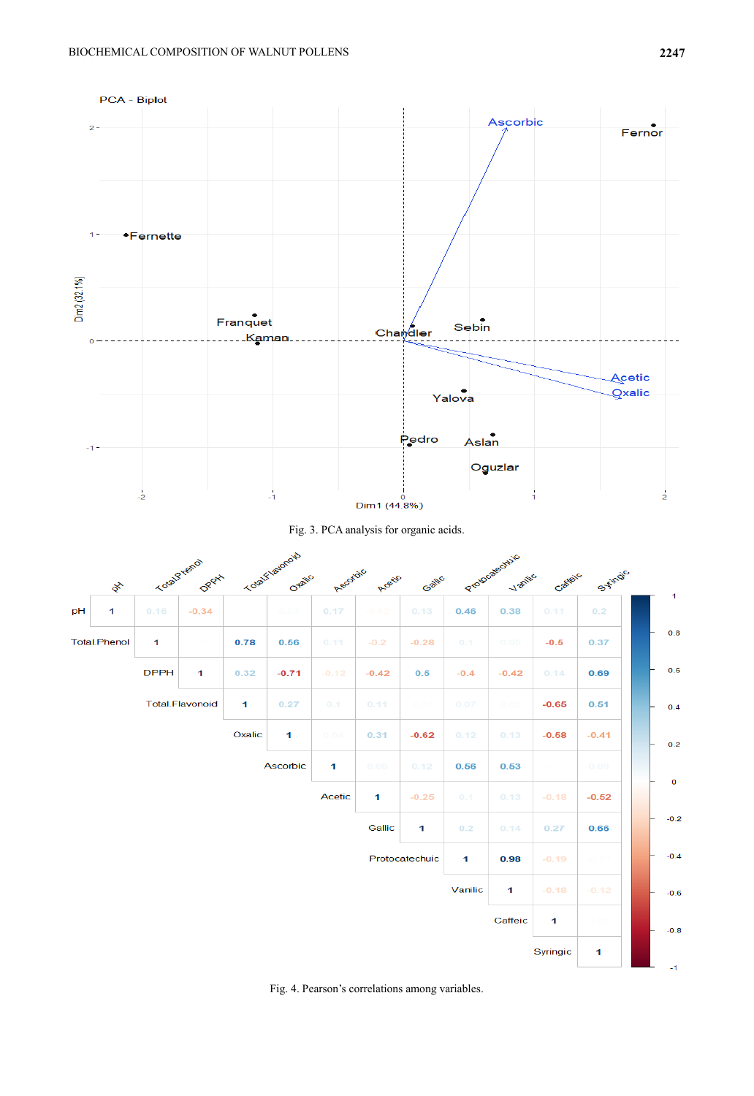





Fig. 4. Pearson"s correlations among variables.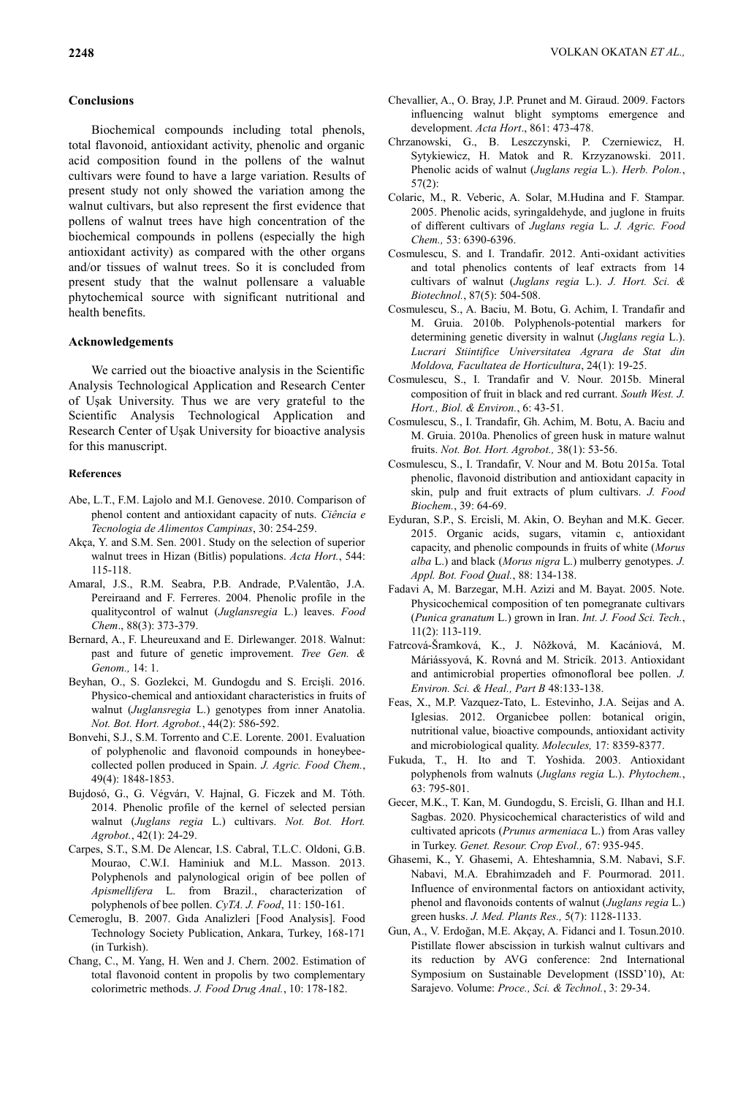## **Conclusions**

Biochemical compounds including total phenols, total flavonoid, antioxidant activity, phenolic and organic acid composition found in the pollens of the walnut cultivars were found to have a large variation. Results of present study not only showed the variation among the walnut cultivars, but also represent the first evidence that pollens of walnut trees have high concentration of the biochemical compounds in pollens (especially the high antioxidant activity) as compared with the other organs and/or tissues of walnut trees. So it is concluded from present study that the walnut pollensare a valuable phytochemical source with significant nutritional and health benefits.

### **Acknowledgements**

We carried out the bioactive analysis in the Scientific Analysis Technological Application and Research Center of Uşak University. Thus we are very grateful to the Scientific Analysis Technological Application and Research Center of Uşak University for bioactive analysis for this manuscript.

#### **References**

- Abe, L.T., F.M. Lajolo and M.I. Genovese. 2010. Comparison of phenol content and antioxidant capacity of nuts. *Ciência e Tecnologia de Alimentos Campinas*, 30: 254-259.
- Akça, Y. and S.M. Sen. 2001. Study on the selection of superior walnut trees in Hizan (Bitlis) populations. *Acta Hort.*, 544: 115-118.
- Amaral, J.S., R.M. Seabra, P.B. Andrade, P.Valentão, J.A. Pereiraand and F. Ferreres. 2004. Phenolic profile in the qualitycontrol of walnut (*Juglansregia* L.) leaves. *Food Chem*., 88(3): 373-379.
- Bernard, A., F. Lheureuxand and E. Dirlewanger. 2018. Walnut: past and future of genetic improvement. *Tree Gen. & Genom.,* 14: 1.
- Beyhan, O., S. Gozlekci, M. Gundogdu and S. Ercişli. 2016. Physico-chemical and antioxidant characteristics in fruits of walnut (*Juglansregia* L.) genotypes from inner Anatolia. *Not. Bot. Hort. Agrobot.*, 44(2): 586-592.
- Bonvehi, S.J., S.M. Torrento and C.E. Lorente. 2001. Evaluation of polyphenolic and flavonoid compounds in honeybeecollected pollen produced in Spain. *J. Agric. Food Chem.*, 49(4): 1848-1853.
- Bujdosó, G., G. Végvárı, V. Hajnal, G. Ficzek and M. Tóth. 2014. Phenolic profile of the kernel of selected persian walnut (*Juglans regia* L.) cultivars. *Not. Bot. Hort. Agrobot.*, 42(1): 24-29.
- Carpes, S.T., S.M. De Alencar, I.S. Cabral, T.L.C. Oldoni, G.B. Mourao, C.W.I. Haminiuk and M.L. Masson. 2013. Polyphenols and palynological origin of bee pollen of *Apismellifera* L. from Brazil., characterization of polyphenols of bee pollen. *CyTA. J. Food*, 11: 150-161.
- Cemeroglu, B. 2007. Gıda Analizleri [Food Analysis]. Food Technology Society Publication, Ankara, Turkey, 168-171 (in Turkish).
- Chang, C., M. Yang, H. Wen and J. Chern. 2002. Estimation of total flavonoid content in propolis by two complementary colorimetric methods. *J. Food Drug Anal.*, 10: 178-182.
- Chevallier, A., O. Bray, J.P. Prunet and M. Giraud. 2009. Factors influencing walnut blight symptoms emergence and development. *Acta Hort*., 861: 473-478.
- Chrzanowski, G., B. Leszczynski, P. Czerniewicz, H. Sytykiewicz, H. Matok and R. Krzyzanowski. 2011. Phenolic acids of walnut (*Juglans regia* L.). *Herb. Polon.*, 57(2):
- Colaric, M., R. Veberic, A. Solar, M.Hudina and F. Stampar. 2005. Phenolic acids, syringaldehyde, and juglone in fruits of different cultivars of *Juglans regia* L. *J. Agric. Food Chem.,* 53: 6390-6396.
- Cosmulescu, S. and I. Trandafir. 2012. Anti-oxidant activities and total phenolics contents of leaf extracts from 14 cultivars of walnut (*Juglans regia* L.). *J. Hort. Sci. & Biotechnol.*, 87(5): 504-508.
- Cosmulescu, S., A. Baciu, M. Botu, G. Achim, I. Trandafir and M. Gruia. 2010b. Polyphenols-potential markers for determining genetic diversity in walnut (*Juglans regia* L.). *Lucrari Stiintifice Universitatea Agrara de Stat din Moldova, Facultatea de Horticultura*, 24(1): 19-25.
- Cosmulescu, S., I. Trandafir and V. Nour. 2015b. Mineral composition of fruit in black and red currant. *South West. J. Hort., Biol. & Environ.*, 6: 43-51.
- Cosmulescu, S., I. Trandafir, Gh. Achim, M. Botu, A. Baciu and M. Gruia. 2010a. Phenolics of green husk in mature walnut fruits. *Not. Bot. Hort. Agrobot.,* 38(1): 53-56.
- Cosmulescu, S., I. Trandafir, V. Nour and M. Botu 2015a. Total phenolic, flavonoid distribution and antioxidant capacity in skin, pulp and fruit extracts of plum cultivars. *J. Food Biochem.*, 39: 64-69.
- Eyduran, S.P., S. Ercisli, M. Akin, O. Beyhan and M.K. Gecer. 2015. Organic acids, sugars, vitamin c, antioxidant capacity, and phenolic compounds in fruits of white (*Morus alba* L.) and black (*Morus nigra* L.) mulberry genotypes. *J. Appl. Bot. Food Qual.*, 88: 134-138.
- Fadavi A, M. Barzegar, M.H. Azizi and M. Bayat. 2005. Note. Physicochemical composition of ten pomegranate cultivars (*Punica granatum* L.) grown in Iran. *Int. J. Food Sci. Tech.*, 11(2): 113-119.
- Fatrcová-Šramková, K., J. Nôžková, M. Kacániová, M. Máriássyová, K. Rovná and M. Stricík. 2013. Antioxidant and antimicrobial properties ofmonofloral bee pollen. *J. Environ. Sci. & Heal., Part B* 48:133-138.
- Feas, X., M.P. Vazquez-Tato, L. Estevinho, J.A. Seijas and A. Iglesias. 2012. Organicbee pollen: botanical origin, nutritional value, bioactive compounds, antioxidant activity and microbiological quality. *Molecules,* 17: 8359-8377.
- Fukuda, T., H. Ito and T. Yoshida. 2003. Antioxidant polyphenols from walnuts (*Juglans regia* L.). *Phytochem.*, 63: 795-801.
- Gecer, M.K., T. Kan, M. Gundogdu, S. Ercisli, G. Ilhan and H.I. Sagbas. 2020. Physicochemical characteristics of wild and cultivated apricots (*Prunus armeniaca* L.) from Aras valley in Turkey. *Genet. Resour. Crop Evol.,* 67: 935-945.
- Ghasemi, K., Y. Ghasemi, A. Ehteshamnia, S.M. Nabavi, S.F. Nabavi, M.A. Ebrahimzadeh and F. Pourmorad. 2011. Influence of environmental factors on antioxidant activity, phenol and flavonoids contents of walnut (*Juglans regia* L.) green husks. *J. Med. Plants Res.,* 5(7): 1128-1133.
- Gun, A., V. Erdoğan, M.E. Akçay, A. Fidanci and I. Tosun.2010. Pistillate flower abscission in turkish walnut cultivars and its reduction by AVG conference: 2nd International Symposium on Sustainable Development (ISSD"10), At: Sarajevo. Volume: *Proce., Sci. & Technol.*, 3: 29-34.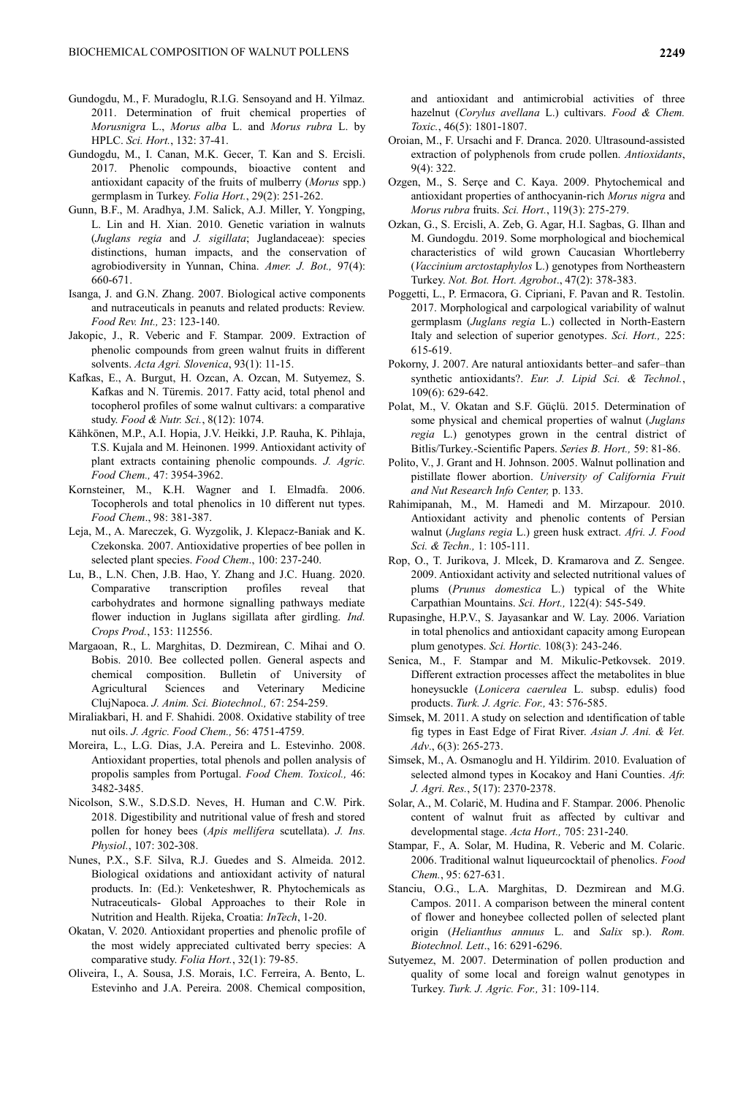- Gundogdu, M., F. Muradoglu, R.I.G. Sensoyand and H. Yilmaz. 2011. Determination of fruit chemical properties of *Morusnigra* L., *Morus alba* L. and *Morus rubra* L. by HPLC. *Sci. Hort.*, 132: 37-41.
- Gundogdu, M., I. Canan, M.K. Gecer, T. Kan and S. Ercisli. 2017. Phenolic compounds, bioactive content and antioxidant capacity of the fruits of mulberry (*Morus* spp.) germplasm in Turkey. *Folia Hort.*, 29(2): 251-262.
- Gunn, B.F., M. Aradhya, J.M. Salick, A.J. Miller, Y. Yongping, L. Lin and H. Xian. 2010. Genetic variation in walnuts (*Juglans regia* and *J. sigillata*; Juglandaceae): species distinctions, human impacts, and the conservation of agrobiodiversity in Yunnan, China. *Amer. J. Bot.,* 97(4): 660-671.
- Isanga, J. and G.N. Zhang. 2007. Biological active components and nutraceuticals in peanuts and related products: Review. *Food Rev. Int.,* 23: 123-140.
- Jakopic, J., R. Veberic and F. Stampar. 2009. Extraction of phenolic compounds from green walnut fruits in different solvents. *Acta Agri. Slovenica*, 93(1): 11-15.
- Kafkas, E., A. Burgut, H. Ozcan, A. Ozcan, M. Sutyemez, S. Kafkas and N. Türemis. 2017. Fatty acid, total phenol and tocopherol profiles of some walnut cultivars: a comparative study. *Food & Nutr. Sci.*, 8(12): 1074.
- Kähkönen, M.P., A.I. Hopia, J.V. Heikki, J.P. Rauha, K. Pihlaja, T.S. Kujala and M. Heinonen. 1999. Antioxidant activity of plant extracts containing phenolic compounds. *J. Agric. Food Chem.,* 47: 3954-3962.
- Kornsteiner, M., K.H. Wagner and I. Elmadfa. 2006. Tocopherols and total phenolics in 10 different nut types. *Food Chem*., 98: 381-387.
- Leja, M., A. Mareczek, G. Wyzgolik, J. Klepacz-Baniak and K. Czekonska. 2007. Antioxidative properties of bee pollen in selected plant species. *Food Chem*., 100: 237-240.
- Lu, B., L.N. Chen, J.B. Hao, Y. Zhang and J.C. Huang. 2020. Comparative transcription profiles reveal that carbohydrates and hormone signalling pathways mediate flower induction in Juglans sigillata after girdling. *Ind. Crops Prod.*, 153: 112556.
- Margaoan, R., L. Marghitas, D. Dezmirean, C. Mihai and O. Bobis. 2010. Bee collected pollen. General aspects and chemical composition. Bulletin of University of Agricultural Sciences and Veterinary Medicine ClujNapoca. *J. Anim. Sci. Biotechnol.,* 67: 254-259.
- Miraliakbari, H. and F. Shahidi. 2008. Oxidative stability of tree nut oils. *J. Agric. Food Chem.,* 56: 4751-4759.
- Moreira, L., L.G. Dias, J.A. Pereira and L. Estevinho. 2008. Antioxidant properties, total phenols and pollen analysis of propolis samples from Portugal. *Food Chem. Toxicol.,* 46: 3482-3485.
- Nicolson, S.W., S.D.S.D. Neves, H. Human and C.W. Pirk. 2018. Digestibility and nutritional value of fresh and stored pollen for honey bees (*Apis mellifera* scutellata). *J. Ins. Physiol.*, 107: 302-308.
- Nunes, P.X., S.F. Silva, R.J. Guedes and S. Almeida. 2012. Biological oxidations and antioxidant activity of natural products. In: (Ed.): Venketeshwer, R. Phytochemicals as Nutraceuticals- Global Approaches to their Role in Nutrition and Health. Rijeka, Croatia: *InTech*, 1-20.
- Okatan, V. 2020. Antioxidant properties and phenolic profile of the most widely appreciated cultivated berry species: A comparative study. *Folia Hort.*, 32(1): 79-85.
- Oliveira, I., A. Sousa, J.S. Morais, I.C. Ferreira, A. Bento, L. Estevinho and J.A. Pereira. 2008. Chemical composition,

and antioxidant and antimicrobial activities of three hazelnut (*Corylus avellana* L.) cultivars. *Food & Chem. Toxic.*, 46(5): 1801-1807.

- Oroian, M., F. Ursachi and F. Dranca. 2020. Ultrasound-assisted extraction of polyphenols from crude pollen. *Antioxidants*, 9(4): 322.
- Ozgen, M., S. Serçe and C. Kaya. 2009. Phytochemical and antioxidant properties of anthocyanin-rich *Morus nigra* and *Morus rubra* fruits. *Sci. Hort.*, 119(3): 275-279.
- Ozkan, G., S. Ercisli, A. Zeb, G. Agar, H.I. Sagbas, G. Ilhan and M. Gundogdu. 2019. Some morphological and biochemical characteristics of wild grown Caucasian Whortleberry (*Vaccinium arctostaphylos* L.) genotypes from Northeastern Turkey. *Not. Bot. Hort. Agrobot*., 47(2): 378-383.
- Poggetti, L., P. Ermacora, G. Cipriani, F. Pavan and R. Testolin. 2017. Morphological and carpological variability of walnut germplasm (*Juglans regia* L.) collected in North-Eastern Italy and selection of superior genotypes. *Sci. Hort.,* 225: 615-619.
- Pokorny, J. 2007. Are natural antioxidants better–and safer–than synthetic antioxidants?. *Eur. J. Lipid Sci. & Technol.*, 109(6): 629-642.
- Polat, M., V. Okatan and S.F. Güçlü. 2015. Determination of some physical and chemical properties of walnut (*Juglans regia* L.) genotypes grown in the central district of Bitlis/Turkey.-Scientific Papers. *Series B. Hort.,* 59: 81-86.
- Polito, V., J. Grant and H. Johnson. 2005. Walnut pollination and pistillate flower abortion. *University of California Fruit and Nut Research Info Center,* p. 133.
- Rahimipanah, M., M. Hamedi and M. Mirzapour. 2010. Antioxidant activity and phenolic contents of Persian walnut (*Juglans regia* L.) green husk extract. *Afri. J. Food Sci. & Techn.,* 1: 105-111.
- Rop, O., T. Jurikova, J. Mlcek, D. Kramarova and Z. Sengee. 2009. Antioxidant activity and selected nutritional values of plums (*Prunus domestica* L.) typical of the White Carpathian Mountains. *Sci. Hort.,* 122(4): 545-549.
- Rupasinghe, H.P.V., S. Jayasankar and W. Lay. 2006. Variation in total phenolics and antioxidant capacity among European plum genotypes. *Sci. Hortic.* 108(3): 243-246.
- Senica, M., F. Stampar and M. Mikulic-Petkovsek. 2019. Different extraction processes affect the metabolites in blue honeysuckle (*Lonicera caerulea* L. subsp. edulis) food products. *Turk. J. Agric. For.,* 43: 576-585.
- Simsek, M. 2011. A study on selection and ıdentification of table fig types in East Edge of Firat River. *Asian J. Ani. & Vet. Adv*., 6(3): 265-273.
- Simsek, M., A. Osmanoglu and H. Yildirim. 2010. [Evaluation of](http://apps.webofknowledge.com/full_record.do?product=UA&search_mode=GeneralSearch&qid=1&SID=F2lVkJJF3eZbvtW5vbq&page=1&doc=10)  [selected almond types in Kocakoy and Hani Counties.](http://apps.webofknowledge.com/full_record.do?product=UA&search_mode=GeneralSearch&qid=1&SID=F2lVkJJF3eZbvtW5vbq&page=1&doc=10) *Afr. J. Agri. Res.*, 5(17): 2370-2378.
- Solar, A., M. Colarič, M. Hudina and F. Stampar. 2006. Phenolic content of walnut fruit as affected by cultivar and developmental stage. *Acta Hort.,* 705: 231-240.
- Stampar, F., A. Solar, M. Hudina, R. Veberic and M. Colaric. 2006. Traditional walnut liqueurcocktail of phenolics. *Food Chem.*, 95: 627-631.
- Stanciu, O.G., L.A. Marghitas, D. Dezmirean and M.G. Campos. 2011. A comparison between the mineral content of flower and honeybee collected pollen of selected plant origin (*Helianthus annuus* L. and *Salix* sp.). *Rom. Biotechnol. Lett*., 16: 6291-6296.
- Sutyemez, M. 2007. Determination of pollen production and quality of some local and foreign walnut genotypes in Turkey. *Turk. J. Agric. For.,* 31: 109-114.